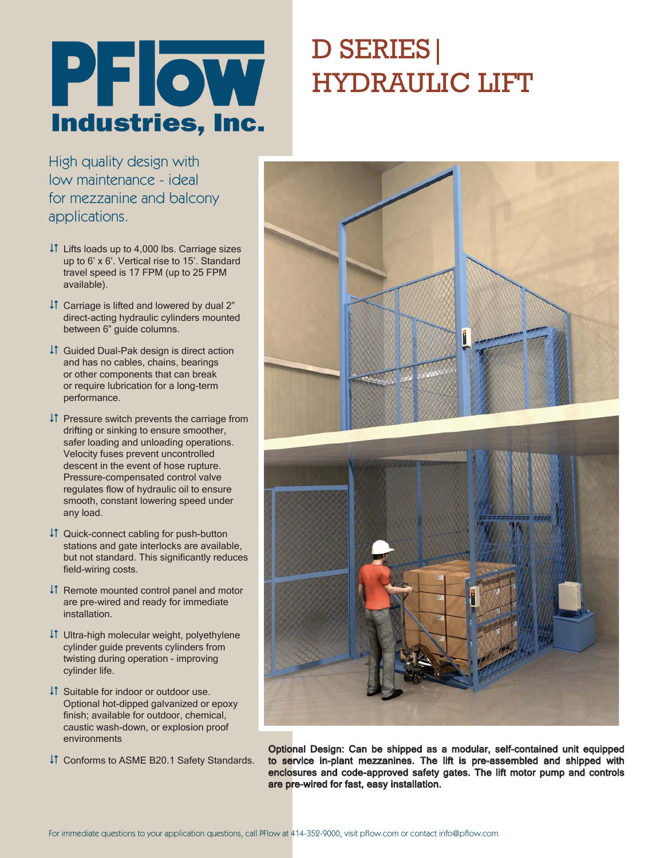

# D SERIES| HYDRAULIC LIFT

High quality design with low maintenance - ideal for mezzanine and balcony applications.

- Lifts loads up to 4,000 lbs. Carriage sizes up to 6' x 6'. Vertical rise to 15'. Standard travel speed is 17 FPM (up to 25 FPM available).
- $\downarrow$  Carriage is lifted and lowered by dual 2" direct-acting hydraulic cylinders mounted between 6" guide columns.
- Guided Dual-Pak design is direct action and has no cables, chains, bearings or other components that can break or require lubrication for a long-term performance.
- $\downarrow$  Pressure switch prevents the carriage from drifting or sinking to ensure smoother, safer loading and unloading operations. Velocity fuses prevent uncontrolled descent in the event of hose rupture. Pressure-compensated control valve regulates flow of hydraulic oil to ensure smooth, constant lowering speed under any load.
- $\downarrow$  Quick-connect cabling for push-button stations and gate interlocks are available, but not standard. This significantly reduces field-wiring costs.
- $\downarrow$  Remote mounted control panel and motor are pre-wired and ready for immediate installation.
- Ultra-high molecular weight, polyethylene cylinder guide prevents cylinders from twisting during operation - improving cylinder life.
- Suitable for indoor or outdoor use. Optional hot-dipped galvanized or epoxy finish; available for outdoor, chemical, caustic wash-down, or explosion proof environments
- Conforms to ASME B20.1 Safety Standards.



Optional Design: Can be shipped as a modular, self-contained unit equipped to service in-plant mezzanines. The lift is pre-assembled and shipped with enclosures and code-approved safety gates. The lift motor pump and controls are pre-wired for fast, easy installation.